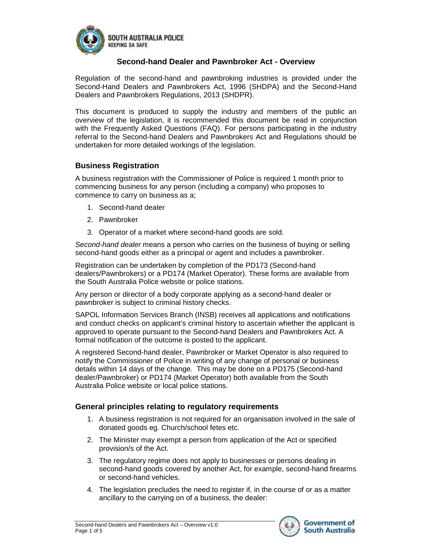

#### **Second-hand Dealer and Pawnbroker Act - Overview**

Regulation of the second-hand and pawnbroking industries is provided under the Second-Hand Dealers and Pawnbrokers Act, 1996 (SHDPA) and the Second-Hand Dealers and Pawnbrokers Regulations, 2013 (SHDPR).

This document is produced to supply the industry and members of the public an overview of the legislation, it is recommended this document be read in conjunction with the Frequently Asked Questions (FAQ). For persons participating in the industry referral to the Second-hand Dealers and Pawnbrokers Act and Regulations should be undertaken for more detailed workings of the legislation.

#### **Business Registration**

A business registration with the Commissioner of Police is required 1 month prior to commencing business for any person (including a company) who proposes to commence to carry on business as a;

- 1. Second-hand dealer
- 2. Pawnbroker
- 3. Operator of a market where second-hand goods are sold.

*Second-hand dealer* means a person who carries on the business of buying or selling second-hand goods either as a principal or agent and includes a pawnbroker.

Registration can be undertaken by completion of the PD173 (Second-hand dealers/Pawnbrokers) or a PD174 (Market Operator). These forms are available from the South Australia Police website or police stations.

Any person or director of a body corporate applying as a second-hand dealer or pawnbroker is subject to criminal history checks.

SAPOL Information Services Branch (INSB) receives all applications and notifications and conduct checks on applicant's criminal history to ascertain whether the applicant is approved to operate pursuant to the Second-hand Dealers and Pawnbrokers Act. A formal notification of the outcome is posted to the applicant.

A registered Second-hand dealer, Pawnbroker or Market Operator is also required to notify the Commissioner of Police in writing of any change of personal or business details within 14 days of the change. This may be done on a PD175 (Second-hand dealer/Pawnbroker) or PD174 (Market Operator) both available from the South Australia Police website or local police stations.

#### **General principles relating to regulatory requirements**

- 1. A business registration is not required for an organisation involved in the sale of donated goods eg. Church/school fetes etc.
- 2. The Minister may exempt a person from application of the Act or specified provision/s of the Act.
- 3. The regulatory regime does not apply to businesses or persons dealing in second-hand goods covered by another Act, for example, second-hand firearms or second-hand vehicles.
- 4. The legislation precludes the need to register if, in the course of or as a matter ancillary to the carrying on of a business, the dealer:

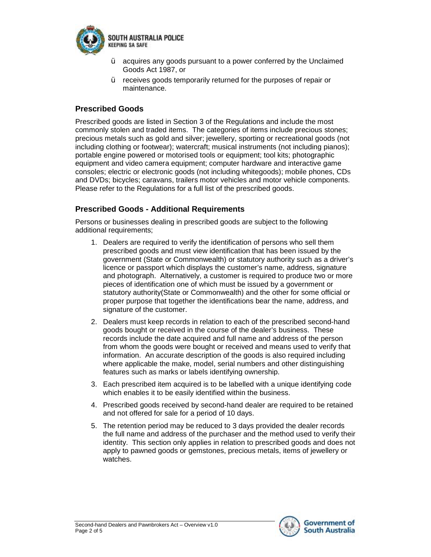

- $\dot{Y}$  acquires any goods pursuant to a power conferred by the Unclaimed Goods Act 1987, or
- Ÿ receives goods temporarily returned for the purposes of repair or maintenance.

# **Prescribed Goods**

Prescribed goods are listed in Section 3 of the Regulations and include the most commonly stolen and traded items. The categories of items include precious stones; precious metals such as gold and silver; jewellery, sporting or recreational goods (not including clothing or footwear); watercraft; musical instruments (not including pianos); portable engine powered or motorised tools or equipment; tool kits; photographic equipment and video camera equipment; computer hardware and interactive game consoles; electric or electronic goods (not including whitegoods); mobile phones, CDs and DVDs; bicycles; caravans, trailers motor vehicles and motor vehicle components. Please refer to the Regulations for a full list of the prescribed goods.

## **Prescribed Goods - Additional Requirements**

Persons or businesses dealing in prescribed goods are subject to the following additional requirements:

- 1. Dealers are required to verify the identification of persons who sell them prescribed goods and must view identification that has been issued by the government (State or Commonwealth) or statutory authority such as a driver's licence or passport which displays the customer's name, address, signature and photograph. Alternatively, a customer is required to produce two or more pieces of identification one of which must be issued by a government or statutory authority(State or Commonwealth) and the other for some official or proper purpose that together the identifications bear the name, address, and signature of the customer.
- 2. Dealers must keep records in relation to each of the prescribed second-hand goods bought or received in the course of the dealer's business. These records include the date acquired and full name and address of the person from whom the goods were bought or received and means used to verify that information. An accurate description of the goods is also required including where applicable the make, model, serial numbers and other distinguishing features such as marks or labels identifying ownership.
- 3. Each prescribed item acquired is to be labelled with a unique identifying code which enables it to be easily identified within the business.
- 4. Prescribed goods received by second-hand dealer are required to be retained and not offered for sale for a period of 10 days.
- 5. The retention period may be reduced to 3 days provided the dealer records the full name and address of the purchaser and the method used to verify their identity. This section only applies in relation to prescribed goods and does not apply to pawned goods or gemstones, precious metals, items of jewellery or watches.

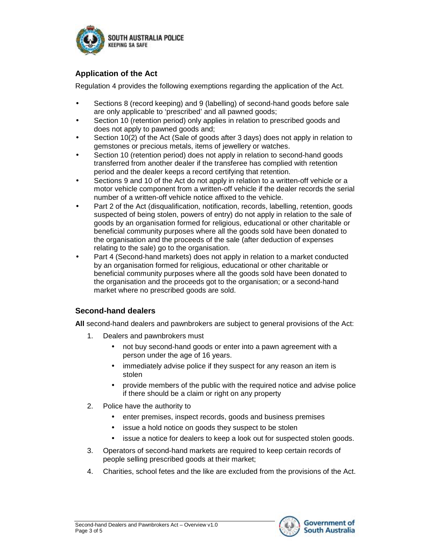

# **Application of the Act**

Regulation 4 provides the following exemptions regarding the application of the Act.

- Sections 8 (record keeping) and 9 (labelling) of second-hand goods before sale are only applicable to 'prescribed' and all pawned goods;
- Section 10 (retention period) only applies in relation to prescribed goods and does not apply to pawned goods and;
- Section 10(2) of the Act (Sale of goods after 3 days) does not apply in relation to gemstones or precious metals, items of jewellery or watches.
- Section 10 (retention period) does not apply in relation to second-hand goods transferred from another dealer if the transferee has complied with retention period and the dealer keeps a record certifying that retention.
- Sections 9 and 10 of the Act do not apply in relation to a written-off vehicle or a motor vehicle component from a written-off vehicle if the dealer records the serial number of a written-off vehicle notice affixed to the vehicle.
- Part 2 of the Act (disqualification, notification, records, labelling, retention, goods suspected of being stolen, powers of entry) do not apply in relation to the sale of goods by an organisation formed for religious, educational or other charitable or beneficial community purposes where all the goods sold have been donated to the organisation and the proceeds of the sale (after deduction of expenses relating to the sale) go to the organisation.
- Part 4 (Second-hand markets) does not apply in relation to a market conducted by an organisation formed for religious, educational or other charitable or beneficial community purposes where all the goods sold have been donated to the organisation and the proceeds got to the organisation; or a second-hand market where no prescribed goods are sold.

## **Second-hand dealers**

**All** second-hand dealers and pawnbrokers are subject to general provisions of the Act:

- 1. Dealers and pawnbrokers must
	- not buy second-hand goods or enter into a pawn agreement with a person under the age of 16 years.
	- immediately advise police if they suspect for any reason an item is stolen
	- provide members of the public with the required notice and advise police if there should be a claim or right on any property
- 2. Police have the authority to
	- enter premises, inspect records, goods and business premises
	- issue a hold notice on goods they suspect to be stolen
	- issue a notice for dealers to keep a look out for suspected stolen goods.
- 3. Operators of second-hand markets are required to keep certain records of people selling prescribed goods at their market;
- 4. Charities, school fetes and the like are excluded from the provisions of the Act.

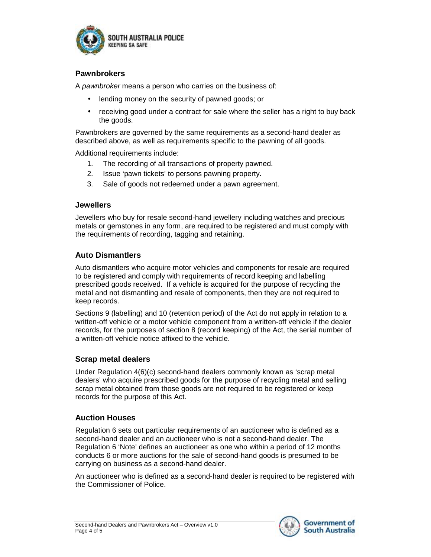

### **Pawnbrokers**

A *pawnbroker* means a person who carries on the business of:

- lending money on the security of pawned goods; or
- receiving good under a contract for sale where the seller has a right to buy back the goods.

Pawnbrokers are governed by the same requirements as a second-hand dealer as described above, as well as requirements specific to the pawning of all goods.

Additional requirements include:

- 1. The recording of all transactions of property pawned.
- 2. Issue 'pawn tickets' to persons pawning property.
- 3. Sale of goods not redeemed under a pawn agreement.

#### **Jewellers**

Jewellers who buy for resale second-hand jewellery including watches and precious metals or gemstones in any form, are required to be registered and must comply with the requirements of recording, tagging and retaining.

### **Auto Dismantlers**

Auto dismantlers who acquire motor vehicles and components for resale are required to be registered and comply with requirements of record keeping and labelling prescribed goods received. If a vehicle is acquired for the purpose of recycling the metal and not dismantling and resale of components, then they are not required to keep records.

Sections 9 (labelling) and 10 (retention period) of the Act do not apply in relation to a written-off vehicle or a motor vehicle component from a written-off vehicle if the dealer records, for the purposes of section 8 (record keeping) of the Act, the serial number of a written-off vehicle notice affixed to the vehicle.

#### **Scrap metal dealers**

Under Regulation 4(6)(c) second-hand dealers commonly known as 'scrap metal dealers' who acquire prescribed goods for the purpose of recycling metal and selling scrap metal obtained from those goods are not required to be registered or keep records for the purpose of this Act.

#### **Auction Houses**

Regulation 6 sets out particular requirements of an auctioneer who is defined as a second-hand dealer and an auctioneer who is not a second-hand dealer. The Regulation 6 'Note' defines an auctioneer as one who within a period of 12 months conducts 6 or more auctions for the sale of second-hand goods is presumed to be carrying on business as a second-hand dealer.

An auctioneer who is defined as a second-hand dealer is required to be registered with the Commissioner of Police.